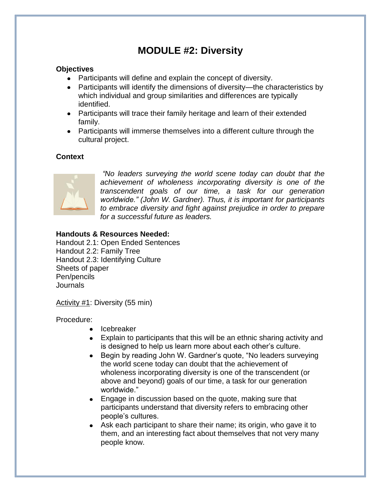## **MODULE #2: Diversity**

#### **Objectives**

- Participants will define and explain the concept of diversity.
- Participants will identify the dimensions of diversity—the characteristics by which individual and group similarities and differences are typically identified.
- Participants will trace their family heritage and learn of their extended family.
- Participants will immerse themselves into a different culture through the cultural project.

#### **Context**



*"No leaders surveying the world scene today can doubt that the achievement of wholeness incorporating diversity is one of the transcendent goals of our time, a task for our generation worldwide." (John W. Gardner). Thus, it is important for participants to embrace diversity and fight against prejudice in order to prepare for a successful future as leaders.* 

#### **Handouts & Resources Needed:**

Handout 2.1: Open Ended Sentences Handout 2.2: Family Tree Handout 2.3: Identifying Culture Sheets of paper Pen/pencils Journals

Activity #1: Diversity (55 min)

Procedure:

- Icebreaker
- Explain to participants that this will be an ethnic sharing activity and is designed to help us learn more about each other's culture.
- Begin by reading John W. Gardner's guote, "No leaders surveying  $\bullet$ the world scene today can doubt that the achievement of wholeness incorporating diversity is one of the transcendent (or above and beyond) goals of our time, a task for our generation worldwide."
- $\bullet$ Engage in discussion based on the quote, making sure that participants understand that diversity refers to embracing other people's cultures.
- Ask each participant to share their name; its origin, who gave it to them, and an interesting fact about themselves that not very many people know.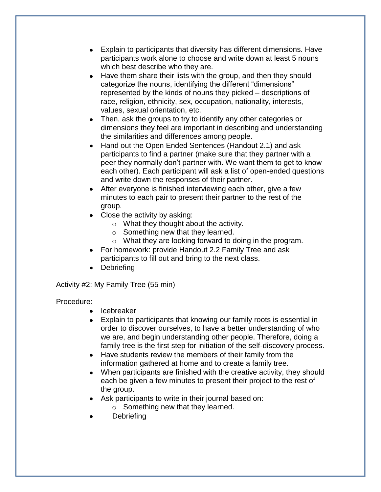- $\bullet$ Explain to participants that diversity has different dimensions. Have participants work alone to choose and write down at least 5 nouns which best describe who they are.
- Have them share their lists with the group, and then they should  $\bullet$ categorize the nouns, identifying the different "dimensions" represented by the kinds of nouns they picked – descriptions of race, religion, ethnicity, sex, occupation, nationality, interests, values, sexual orientation, etc.
- Then, ask the groups to try to identify any other categories or dimensions they feel are important in describing and understanding the similarities and differences among people.
- Hand out the Open Ended Sentences (Handout 2.1) and ask  $\bullet$ participants to find a partner (make sure that they partner with a peer they normally don't partner with. We want them to get to know each other). Each participant will ask a list of open-ended questions and write down the responses of their partner.
- After everyone is finished interviewing each other, give a few minutes to each pair to present their partner to the rest of the group.
- Close the activity by asking:
	- o What they thought about the activity.
	- o Something new that they learned.
	- o What they are looking forward to doing in the program.
- For homework: provide Handout 2.2 Family Tree and ask participants to fill out and bring to the next class.
- Debriefing

Activity #2: My Family Tree (55 min)

#### Procedure:

- Icebreaker
- Explain to participants that knowing our family roots is essential in  $\bullet$ order to discover ourselves, to have a better understanding of who we are, and begin understanding other people. Therefore, doing a family tree is the first step for initiation of the self-discovery process.
- Have students review the members of their family from the information gathered at home and to create a family tree.
- $\bullet$ When participants are finished with the creative activity, they should each be given a few minutes to present their project to the rest of the group.
- Ask participants to write in their journal based on:
	- o Something new that they learned.
- **Debriefing**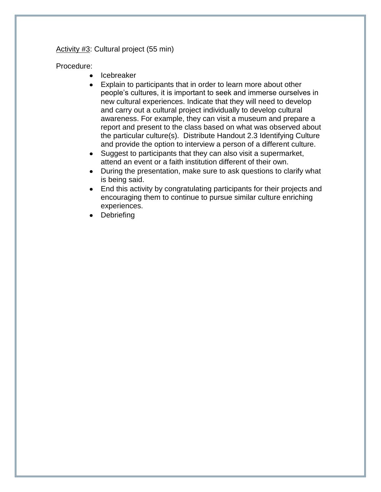Activity #3: Cultural project (55 min)

#### Procedure:

- Icebreaker  $\bullet$
- Explain to participants that in order to learn more about other  $\bullet$ people's cultures, it is important to seek and immerse ourselves in new cultural experiences. Indicate that they will need to develop and carry out a cultural project individually to develop cultural awareness. For example, they can visit a museum and prepare a report and present to the class based on what was observed about the particular culture(s). Distribute Handout 2.3 Identifying Culture and provide the option to interview a person of a different culture.
- $\bullet$ Suggest to participants that they can also visit a supermarket, attend an event or a faith institution different of their own.
- During the presentation, make sure to ask questions to clarify what  $\bullet$ is being said.
- End this activity by congratulating participants for their projects and encouraging them to continue to pursue similar culture enriching experiences.
- Debriefing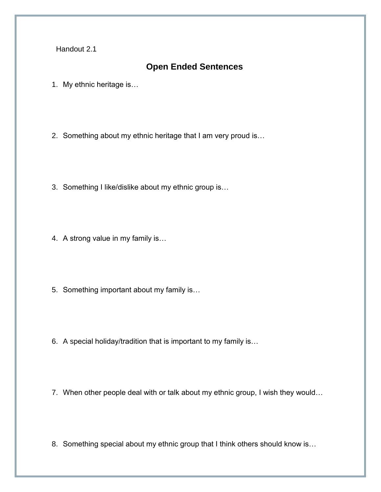Handout 2.1

### **Open Ended Sentences**

1. My ethnic heritage is…

2. Something about my ethnic heritage that I am very proud is…

- 3. Something I like/dislike about my ethnic group is…
- 4. A strong value in my family is…
- 5. Something important about my family is…
- 6. A special holiday/tradition that is important to my family is…
- 7. When other people deal with or talk about my ethnic group, I wish they would...
- 8. Something special about my ethnic group that I think others should know is...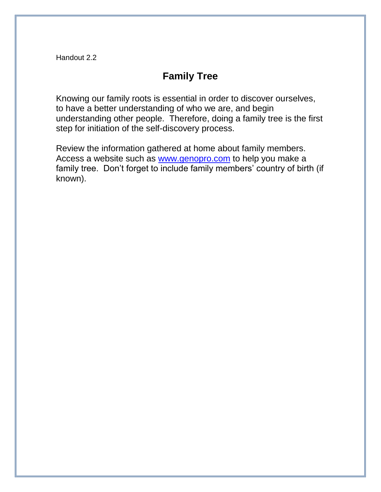Handout 2.2

### **Family Tree**

Knowing our family roots is essential in order to discover ourselves, to have a better understanding of who we are, and begin understanding other people. Therefore, doing a family tree is the first step for initiation of the self-discovery process.

Review the information gathered at home about family members. Access a website such as [www.genopro.com](http://www.genopro.com/) to help you make a family tree. Don't forget to include family members' country of birth (if known).